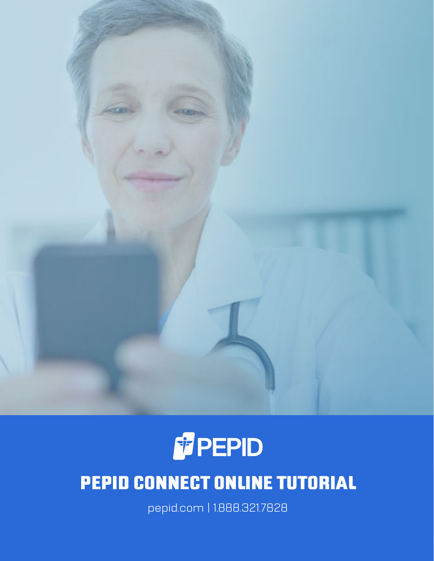



# PEPID CONNECT ONLINE TUTORIAL

pepid.com | 1.888.321.7828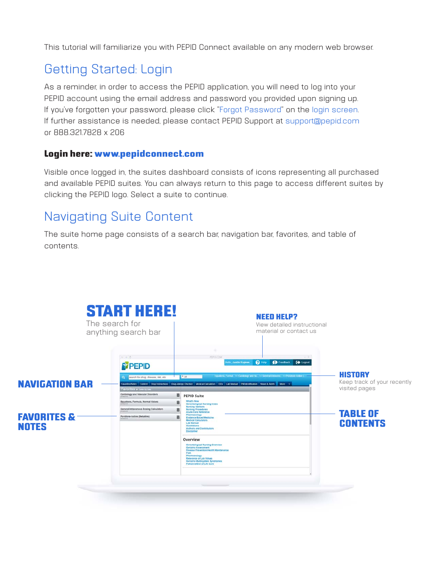This tutorial will familiarize you with PEPID Connect available on any modern web browser.

# Getting Started: Login

As a reminder, in order to access the PEPID application, you will need to log into your PEPID account using the email address and password you provided upon signing up. If you've forgotten your password, please click "Forgot Password" on the login screen. If further assistance is needed, please contact PEPID Support at support@pepid.com or 888.321.7828 x 206

#### Login here: www.pepidconnect.com

Visible once logged in, the suites dashboard consists of icons representing all purchased and available PEPID suites. You can always return to this page to access different suites by clicking the PEPID logo. Select a suite to continue.

### Navigating Suite Content

The suite home page consists of a search bar, navigation bar, favorites, and table of contents.

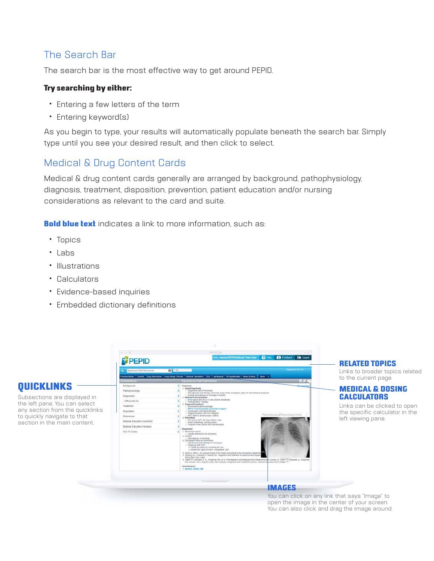### The Search Bar

The search bar is the most effective way to get around PEPID.

#### Try searching by either:

- Entering a few letters of the term
- Entering keyword(s)

As you begin to type, your results will automatically populate beneath the search bar. Simply type until you see your desired result, and then click to select.

### Medical & Drug Content Cards

Medical & drug content cards generally are arranged by background, pathophysiology, diagnosis, treatment, disposition, prevention, patient education and/or nursing considerations as relevant to the card and suite.

**Bold blue text** indicates a link to more information, such as:

- Topics
- Labs

**QUICKLINKS** 

- Illustrations
- Calculators
- Evidence-based inquiries
- Embedded dictionary definitions



You can click on any link that says "Image" to open the image in the center of your screen. You can also click and drag the image around.

RELATED TOPICS

to the current page.

left viewing pane.

MEDICAL & DOSING **CALCULATORS** 

Links can be clicked to open the specific calculator in the

Links to broader topics related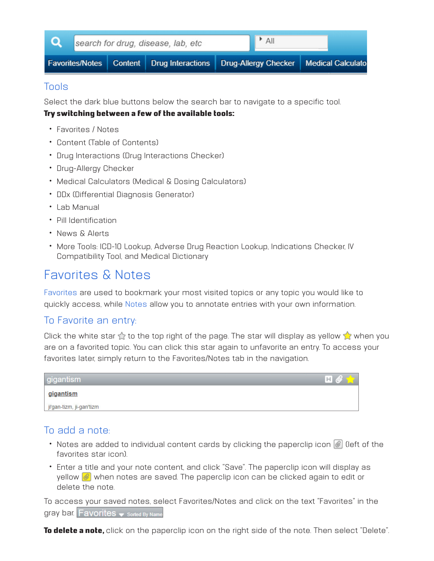

#### Tools

Select the dark blue buttons below the search bar to navigate to a specific tool.

#### Try switching between a few of the available tools:

- Favorites / Notes
- Content (Table of Contents)
- Drug Interactions (Drug Interactions Checker)
- Drug-Allergy Checker
- Medical Calculators (Medical & Dosing Calculators)
- DDx (Differential Diagnosis Generator)
- Lab Manual
- Pill Identification
- News & Alerts
- More Tools: ICD-10 Lookup, Adverse Drug Reaction Lookup, Indications Checker, IV Compatibility Tool, and Medical Dictionary

### Favorites & Notes

Favorites are used to bookmark your most visited topics or any topic you would like to quickly access, while Notes allow you to annotate entries with your own information.

### To Favorite an entry:

Click the white star  $\hat{\chi}$  to the top right of the page. The star will display as yellow  $\hat{\chi}$  when you are on a favorited topic. You can click this star again to unfavorite an entry. To access your favorites later, simply return to the Favorites/Notes tab in the navigation.

| gigantism                | $\blacksquare$<br>$\mathbf{L}$ |
|--------------------------|--------------------------------|
| gigantism                |                                |
| ji'gan-tizm, ji-gan'tizm |                                |

### To add a note:

- Notes are added to individual content cards by clicking the paperclip icon  $\mathcal{O}$  (left of the favorites star icon).
- Enter a title and your note content, and click "Save". The paperclip icon will display as yellow  $\mathcal{O}$  when notes are saved. The paperclip icon can be clicked again to edit or delete the note.

To access your saved notes, select Favorites/Notes and click on the text "Favorites" in the gray bar. Favorites  $\bullet$  sorted By Name

To delete a note, click on the paperclip icon on the right side of the note. Then select "Delete".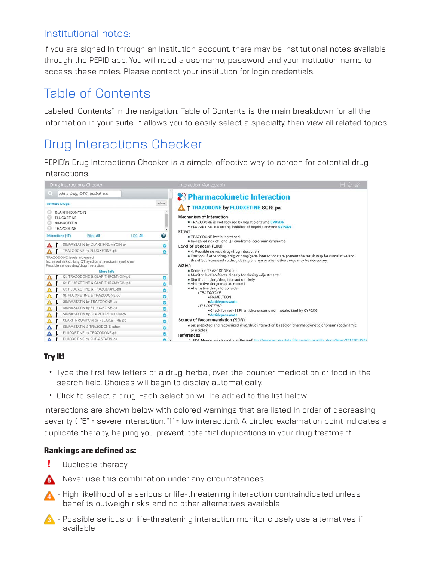#### Institutional notes:

If you are signed in through an institution account, there may be institutional notes available through the PEPID app. You will need a username, password and your institution name to access these notes. Please contact your institution for login credentials.

### Table of Contents

Labeled "Contents" in the navigation, Table of Contents is the main breakdown for all the information in your suite. It allows you to easily select a specialty, then view all related topics.

# Drug Interactions Checker

PEPID's Drug Interactions Checker is a simple, effective way to screen for potential drug interactions.



#### Try it!

- Type the first few letters of a drug, herbal, over-the-counter medication or food in the search field. Choices will begin to display automatically.
- Click to select a drug. Each selection will be added to the list below.

Interactions are shown below with colored warnings that are listed in order of decreasing severity ("5" = severe interaction. "1" = low interaction). A circled exclamation point indicates a duplicate therapy, helping you prevent potential duplications in your drug treatment.

#### Rankings are defined as:

- ! Duplicate therapy
- $\bigwedge$  Never use this combination under any circumstances
- **A** High likelihood of a serious or life-threatening interaction contraindicated unless benefits outweigh risks and no other alternatives available
- **A** Possible serious or life-threatening interaction monitor closely use alternatives if available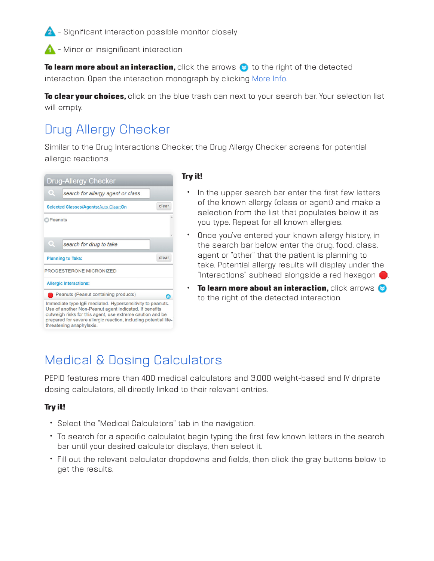<sup>2</sup> - Significant interaction possible monitor closely

**4** - Minor or insignificant interaction

To learn more about an interaction, click the arrows in the right of the detected interaction. Open the interaction monograph by clicking More Info.

To clear your choices, click on the blue trash can next to your search bar. Your selection list will empty.

### Drug Allergy Checker

Similar to the Drug Interactions Checker, the Drug Allergy Checker screens for potential allergic reactions.

|                       | <b>Drug-Allergy Checker</b>                                                                                                                                                                                                                                                     |       |
|-----------------------|---------------------------------------------------------------------------------------------------------------------------------------------------------------------------------------------------------------------------------------------------------------------------------|-------|
| $\boldsymbol{\alpha}$ | search for allergy agent or class                                                                                                                                                                                                                                               |       |
|                       | Selected Classes/Agents: Auto Clear: On                                                                                                                                                                                                                                         | clear |
| <b>B</b> Peanuts      |                                                                                                                                                                                                                                                                                 |       |
|                       |                                                                                                                                                                                                                                                                                 |       |
| $_{\odot}$            | search for drug to take                                                                                                                                                                                                                                                         |       |
|                       | <b>Planning to Take:</b>                                                                                                                                                                                                                                                        | clear |
|                       | PROGESTERONE MICRONIZED                                                                                                                                                                                                                                                         |       |
|                       | <b>Allergic Interactions:</b>                                                                                                                                                                                                                                                   |       |
|                       | Peanuts (Peanut containing products)                                                                                                                                                                                                                                            | A     |
|                       | Immediate type IgE mediated. Hypersensitivity to peanuts.<br>Use of another Non-Peanut agent indicated. If benefits<br>outweigh risks for this agent, use extreme caution and be<br>prepared for severe allergic reaction, including potential life-<br>threatening ananhylavis |       |

#### Try it!

- In the upper search bar enter the first few letters of the known allergy (class or agent) and make a selection from the list that populates below it as you type. Repeat for all known allergies.
- Once you've entered your known allergy history, in the search bar below, enter the drug, food, class, agent or "other" that the patient is planning to take. Potential allergy results will display under the "Interactions" subhead alongside a red hexagon
- $\cdot$  To learn more about an interaction, click arrows  $\odot$ to the right of the detected interaction.

### Medical & Dosing Calculators

PEPID features more than 400 medical calculators and 3,000 weight-based and IV driprate dosing calculators, all directly linked to their relevant entries.

#### Try it!

- Select the "Medical Calculators" tab in the navigation.
- To search for a specific calculator, begin typing the first few known letters in the search bar until your desired calculator displays, then select it.
- Fill out the relevant calculator dropdowns and fields, then click the gray buttons below to get the results.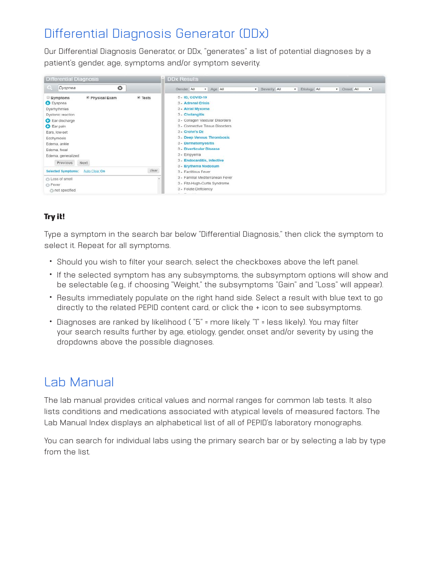### Differential Diagnosis Generator (DDx)

Our Differential Diagnosis Generator, or DDx, "generates" a list of potential diagnoses by a patient's gender, age, symptoms and/or symptom severity.



#### Try it!

Type a symptom in the search bar below "Differential Diagnosis," then click the symptom to select it. Repeat for all symptoms.

- Should you wish to filter your search, select the checkboxes above the left panel.
- If the selected symptom has any subsymptoms, the subsymptom options will show and be selectable (e.g., if choosing "Weight," the subsymptoms "Gain" and "Loss" will appear).
- Results immediately populate on the right hand side. Select a result with blue text to go directly to the related PEPID content card, or click the + icon to see subsymptoms.
- Diagnoses are ranked by likelihood ( "5" = more likely. "1" = less likely). You may filter your search results further by age, etiology, gender, onset and/or severity by using the dropdowns above the possible diagnoses.

### Lab Manual

The lab manual provides critical values and normal ranges for common lab tests. It also lists conditions and medications associated with atypical levels of measured factors. The Lab Manual Index displays an alphabetical list of all of PEPID's laboratory monographs.

You can search for individual labs using the primary search bar or by selecting a lab by type from the list.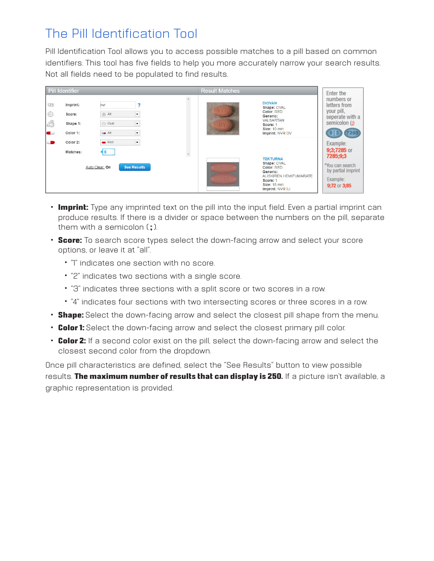### The Pill Identification Tool

Pill Identification Tool allows you to access possible matches to a pill based on common identifiers. This tool has five fields to help you more accurately narrow your search results. Not all fields need to be populated to find results.

|                                  | Pill Identifier                            |                                                                                                                           |          | <b>Result Matches</b> |                                                                                                                                                | Enter the                                                                                                |
|----------------------------------|--------------------------------------------|---------------------------------------------------------------------------------------------------------------------------|----------|-----------------------|------------------------------------------------------------------------------------------------------------------------------------------------|----------------------------------------------------------------------------------------------------------|
| 123<br>IO<br>C<br>$\blacksquare$ | Imprint:<br>Score:<br>Shape 1:<br>Color 1: | nvr<br>$\overline{\phantom{0}}$<br>All<br>$\overline{\phantom{a}}$<br>o Oval<br>$\overline{\phantom{a}}$<br><b>OD</b> All | $\Delta$ | m                     | <b>DIOVAN</b><br>Shape: OVAL<br>Color: RED<br>Generic:<br><b>VAI SARTAN</b><br>Score: 1<br><b>Size: 10 mm</b><br>Imprint: NVR DV               | numbers or<br>letters from<br>your pill,<br>seperate with a<br>semicolon (;)<br>7285<br>9 3              |
| $\blacksquare$                   | Color 2:<br>Matches:                       | $\overline{\phantom{a}}$<br>Red<br>$\sqrt{5}$<br><b>See Results</b><br>Auto Clear: On                                     | $\psi$   |                       | <b>TEKTURNA</b><br>Shape: OVAL<br><b>Color: RED</b><br>Generic:<br>ALISKIREN HEMIFUMARATE<br>Score: 1<br><b>Size: 18 mm</b><br>Imprint: NVR IU | Example:<br>9;3;7285 or<br>7285;9;3<br>*You can search<br>by partial imprint<br>Example:<br>9;72 or 3;85 |

- Imprint: Type any imprinted text on the pill into the input field. Even a partial imprint can produce results. If there is a divider or space between the numbers on the pill, separate them with a semicolon  $(:).$
- Score: To search score types select the down-facing arrow and select your score options, or leave it at "all".
	- "1" indicates one section with no score.
	- "2" indicates two sections with a single score.
	- "3" indicates three sections with a split score or two scores in a row.
	- "4" indicates four sections with two intersecting scores or three scores in a row.
- Shape: Select the down-facing arrow and select the closest pill shape from the menu.
- Color 1: Select the down-facing arrow and select the closest primary pill color.
- Color 2: If a second color exist on the pill, select the down-facing arrow and select the closest second color from the dropdown.

Once pill characteristics are defined, select the "See Results" button to view possible results. The maximum number of results that can display is 250. If a picture isn't available, a graphic representation is provided.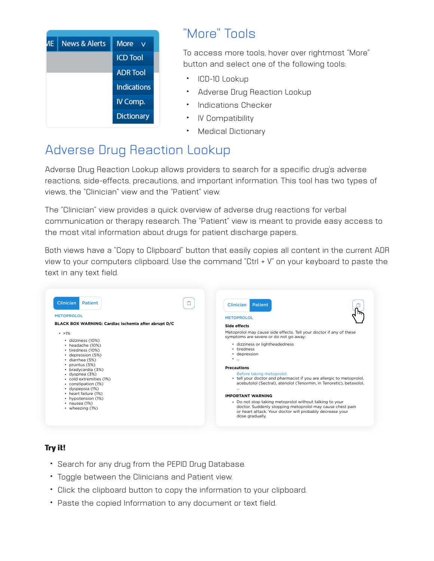

### "More" Tools

To access more tools, hover over rightmost "More" button and select one of the following tools:

- ICD-10 Lookup
- Adverse Drug Reaction Lookup
- Indications Checker
- IV Compatibility
- Medical Dictionary

# Adverse Drug Reaction Lookup

Adverse Drug Reaction Lookup allows providers to search for a specific drug's adverse reactions, side-effects, precautions, and important information. This tool has two types of views, the "Clinician" view and the "Patient" view.

The "Clinician" view provides a quick overview of adverse drug reactions for verbal communication or therapy research. The "Patient" view is meant to provide easy access to the most vital information about drugs for patient discharge papers.

Both views have a "Copy to Clipboard" button that easily copies all content in the current ADR view to your computers clipboard. Use the command "Ctrl + V" on your keyboard to paste the text in any text field.



#### Try it!

- Search for any drug from the PEPID Drug Database.
- Toggle between the Clinicians and Patient view.
- Click the clipboard button to copy the information to your clipboard.
- Paste the copied Information to any document or text field.